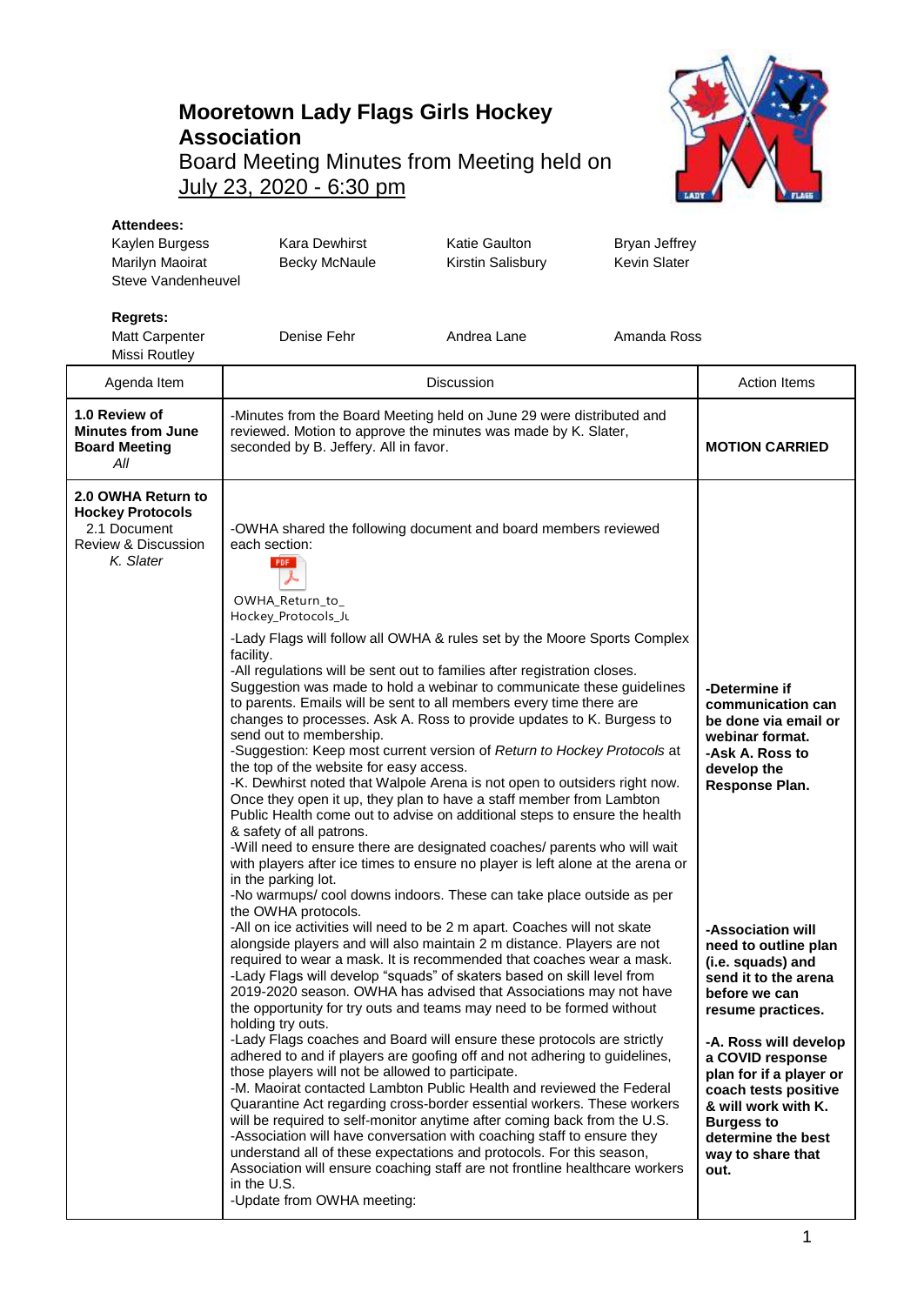## **Mooretown Lady Flags Girls Hockey Association** Board Meeting Minutes from Meeting held on July 23, 2020 - 6:30 pm



## **Attendees:**

| Kaylen Burgess<br>Marilyn Maoirat<br>Steve Vandenheuvel                                           | <b>Kara Dewhirst</b><br><b>Becky McNaule</b>                                                                                                                                                                                                                                                                                                                                                                                                                                                                                                                                                                                                                                                                                                                                                                                                                                                                                                                                                                                                                                                                                                                                                                                     | <b>Katie Gaulton</b><br>Kirstin Salisbury | Bryan Jeffrey<br>Kevin Slater |                                                                                                                                                                                             |
|---------------------------------------------------------------------------------------------------|----------------------------------------------------------------------------------------------------------------------------------------------------------------------------------------------------------------------------------------------------------------------------------------------------------------------------------------------------------------------------------------------------------------------------------------------------------------------------------------------------------------------------------------------------------------------------------------------------------------------------------------------------------------------------------------------------------------------------------------------------------------------------------------------------------------------------------------------------------------------------------------------------------------------------------------------------------------------------------------------------------------------------------------------------------------------------------------------------------------------------------------------------------------------------------------------------------------------------------|-------------------------------------------|-------------------------------|---------------------------------------------------------------------------------------------------------------------------------------------------------------------------------------------|
| <b>Regrets:</b><br>Matt Carpenter<br>Missi Routley                                                | Denise Fehr                                                                                                                                                                                                                                                                                                                                                                                                                                                                                                                                                                                                                                                                                                                                                                                                                                                                                                                                                                                                                                                                                                                                                                                                                      | Andrea Lane                               | Amanda Ross                   |                                                                                                                                                                                             |
| Agenda Item                                                                                       | <b>Discussion</b>                                                                                                                                                                                                                                                                                                                                                                                                                                                                                                                                                                                                                                                                                                                                                                                                                                                                                                                                                                                                                                                                                                                                                                                                                |                                           |                               | <b>Action Items</b>                                                                                                                                                                         |
| 1.0 Review of<br><b>Minutes from June</b><br><b>Board Meeting</b><br>All                          | -Minutes from the Board Meeting held on June 29 were distributed and<br>reviewed. Motion to approve the minutes was made by K. Slater,<br>seconded by B. Jeffery. All in favor.                                                                                                                                                                                                                                                                                                                                                                                                                                                                                                                                                                                                                                                                                                                                                                                                                                                                                                                                                                                                                                                  |                                           |                               | <b>MOTION CARRIED</b>                                                                                                                                                                       |
| 2.0 OWHA Return to<br><b>Hockey Protocols</b><br>2.1 Document<br>Review & Discussion<br>K. Slater | -OWHA shared the following document and board members reviewed<br>each section:<br>PDF<br>OWHA_Return_to_<br>Hockey_Protocols_Ju<br>-Lady Flags will follow all OWHA & rules set by the Moore Sports Complex<br>facility.<br>-All regulations will be sent out to families after registration closes.<br>Suggestion was made to hold a webinar to communicate these guidelines<br>to parents. Emails will be sent to all members every time there are<br>changes to processes. Ask A. Ross to provide updates to K. Burgess to<br>send out to membership.<br>-Suggestion: Keep most current version of Return to Hockey Protocols at<br>the top of the website for easy access.<br>-K. Dewhirst noted that Walpole Arena is not open to outsiders right now.<br>Once they open it up, they plan to have a staff member from Lambton<br>Public Health come out to advise on additional steps to ensure the health<br>& safety of all patrons.<br>-Will need to ensure there are designated coaches/ parents who will wait<br>with players after ice times to ensure no player is left alone at the arena or<br>in the parking lot.<br>-No warmups/ cool downs indoors. These can take place outside as per<br>the OWHA protocols. |                                           |                               | -Determine if<br>communication can<br>be done via email or<br>webinar format.<br>-Ask A. Ross to<br>develop the<br>Response Plan.                                                           |
|                                                                                                   | -All on ice activities will need to be 2 m apart. Coaches will not skate<br>alongside players and will also maintain 2 m distance. Players are not<br>required to wear a mask. It is recommended that coaches wear a mask.<br>-Lady Flags will develop "squads" of skaters based on skill level from<br>2019-2020 season. OWHA has advised that Associations may not have<br>the opportunity for try outs and teams may need to be formed without                                                                                                                                                                                                                                                                                                                                                                                                                                                                                                                                                                                                                                                                                                                                                                                |                                           |                               | -Association will<br>need to outline plan<br>(i.e. squads) and<br>send it to the arena<br>before we can<br>resume practices.                                                                |
|                                                                                                   | holding try outs.<br>-Lady Flags coaches and Board will ensure these protocols are strictly<br>adhered to and if players are goofing off and not adhering to guidelines,<br>those players will not be allowed to participate.<br>-M. Maoirat contacted Lambton Public Health and reviewed the Federal<br>Quarantine Act regarding cross-border essential workers. These workers<br>will be required to self-monitor anytime after coming back from the U.S.<br>-Association will have conversation with coaching staff to ensure they<br>understand all of these expectations and protocols. For this season,<br>Association will ensure coaching staff are not frontline healthcare workers<br>in the U.S.<br>-Update from OWHA meeting:                                                                                                                                                                                                                                                                                                                                                                                                                                                                                        |                                           |                               | -A. Ross will develop<br>a COVID response<br>plan for if a player or<br>coach tests positive<br>& will work with K.<br><b>Burgess to</b><br>determine the best<br>way to share that<br>out. |